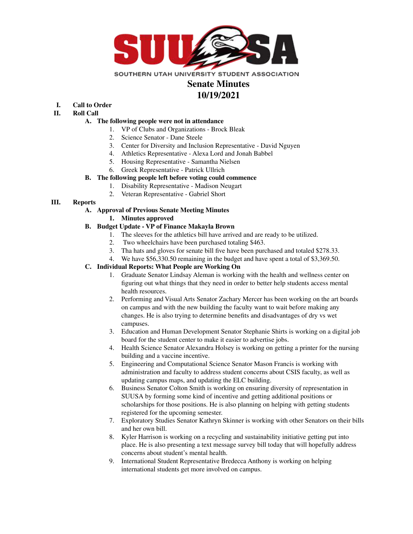

# **Senate Minutes**

### **10/19/2021**

## **I. Call to Order**

**II. Roll Call**

#### **A. The following people were not in attendance**

- 1. VP of Clubs and Organizations Brock Bleak
- 2. Science Senator Dane Steele
- 3. Center for Diversity and Inclusion Representative David Nguyen
- 4. Athletics Representative Alexa Lord and Jonah Babbel
- 5. Housing Representative Samantha Nielsen
- 6. Greek Representative Patrick Ullrich

#### **B. The following people left before voting could commence**

- 1. Disability Representative Madison Neugart
- 2. Veteran Representative Gabriel Short

#### **III. Reports**

#### **A. Approval of Previous Senate Meeting Minutes**

**1. Minutes approved**

#### **B. Budget Update - VP of Finance Makayla Brown**

- 1. The sleeves for the athletics bill have arrived and are ready to be utilized.
- 2. Two wheelchairs have been purchased totaling \$463.
- 3. Tha hats and gloves for senate bill five have been purchased and totaled \$278.33.
- 4. We have \$56,330.50 remaining in the budget and have spent a total of \$3,369.50.

#### **C. Individual Reports: What People are Working On**

- 1. Graduate Senator Lindsay Aleman is working with the health and wellness center on figuring out what things that they need in order to better help students access mental health resources.
- 2. Performing and Visual Arts Senator Zachary Mercer has been working on the art boards on campus and with the new building the faculty want to wait before making any changes. He is also trying to determine benefits and disadvantages of dry vs wet campuses.
- 3. Education and Human Development Senator Stephanie Shirts is working on a digital job board for the student center to make it easier to advertise jobs.
- 4. Health Science Senator Alexandra Holsey is working on getting a printer for the nursing building and a vaccine incentive.
- 5. Engineering and Computational Science Senator Mason Francis is working with administration and faculty to address student concerns about CSIS faculty, as well as updating campus maps, and updating the ELC building.
- 6. Business Senator Colton Smith is working on ensuring diversity of representation in SUUSA by forming some kind of incentive and getting additional positions or scholarships for those positions. He is also planning on helping with getting students registered for the upcoming semester.
- 7. Exploratory Studies Senator Kathryn Skinner is working with other Senators on their bills and her own bill.
- 8. Kyler Harrison is working on a recycling and sustainability initiative getting put into place. He is also presenting a text message survey bill today that will hopefully address concerns about student's mental health.
- 9. International Student Representative Bredecca Anthony is working on helping international students get more involved on campus.